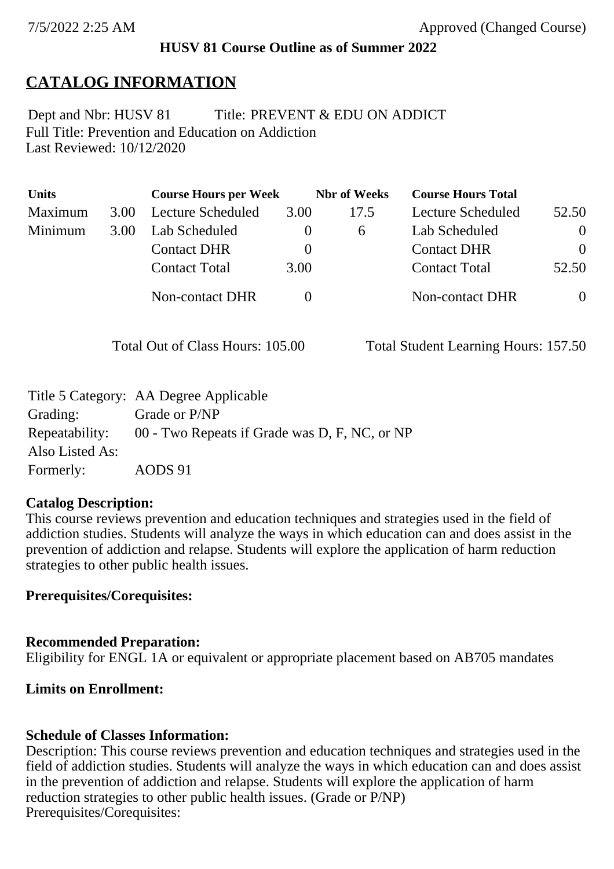### **HUSV 81 Course Outline as of Summer 2022**

# **CATALOG INFORMATION**

Full Title: Prevention and Education on Addiction Last Reviewed: 10/12/2020 Dept and Nbr: HUSV 81 Title: PREVENT & EDU ON ADDICT

| <b>Units</b> |      | <b>Course Hours per Week</b> |          | <b>Nbr</b> of Weeks | <b>Course Hours Total</b> |                |
|--------------|------|------------------------------|----------|---------------------|---------------------------|----------------|
| Maximum      | 3.00 | <b>Lecture Scheduled</b>     | 3.00     | 17.5                | Lecture Scheduled         | 52.50          |
| Minimum      | 3.00 | Lab Scheduled                | $\theta$ | 6                   | Lab Scheduled             | $\theta$       |
|              |      | <b>Contact DHR</b>           | $\theta$ |                     | <b>Contact DHR</b>        | $\Omega$       |
|              |      | <b>Contact Total</b>         | 3.00     |                     | <b>Contact Total</b>      | 52.50          |
|              |      | Non-contact DHR              |          |                     | <b>Non-contact DHR</b>    | $\overline{0}$ |

Total Out of Class Hours: 105.00 Total Student Learning Hours: 157.50

|                 | Title 5 Category: AA Degree Applicable                       |
|-----------------|--------------------------------------------------------------|
| Grading:        | Grade or P/NP                                                |
|                 | Repeatability: 00 - Two Repeats if Grade was D, F, NC, or NP |
| Also Listed As: |                                                              |
| Formerly:       | AODS 91                                                      |

### **Catalog Description:**

This course reviews prevention and education techniques and strategies used in the field of addiction studies. Students will analyze the ways in which education can and does assist in the prevention of addiction and relapse. Students will explore the application of harm reduction strategies to other public health issues.

## **Prerequisites/Corequisites:**

### **Recommended Preparation:**

Eligibility for ENGL 1A or equivalent or appropriate placement based on AB705 mandates

### **Limits on Enrollment:**

## **Schedule of Classes Information:**

Description: This course reviews prevention and education techniques and strategies used in the field of addiction studies. Students will analyze the ways in which education can and does assist in the prevention of addiction and relapse. Students will explore the application of harm reduction strategies to other public health issues. (Grade or P/NP) Prerequisites/Corequisites: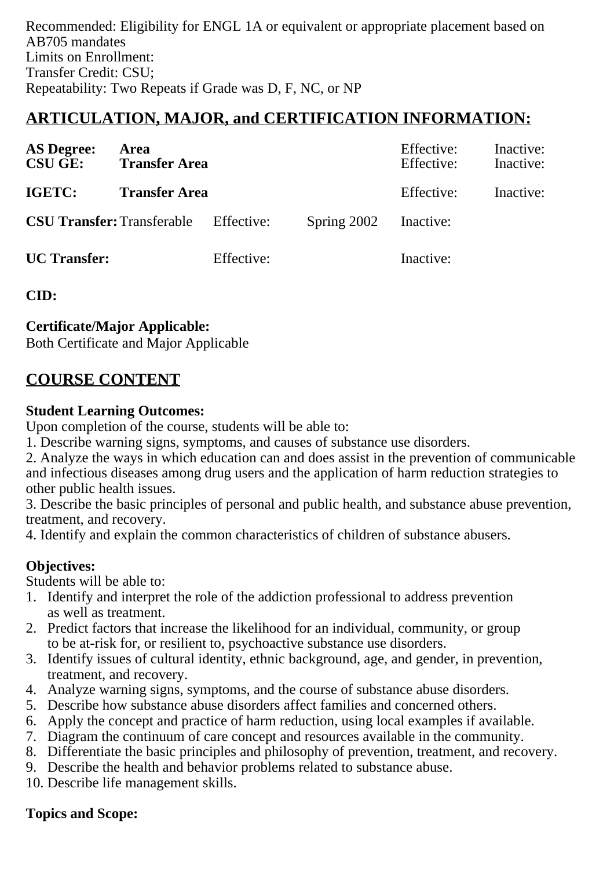Recommended: Eligibility for ENGL 1A or equivalent or appropriate placement based on AB705 mandates Limits on Enrollment: Transfer Credit: CSU; Repeatability: Two Repeats if Grade was D, F, NC, or NP

# **ARTICULATION, MAJOR, and CERTIFICATION INFORMATION:**

| <b>AS Degree:</b><br><b>CSU GE:</b> | Area<br><b>Transfer Area</b>                 |            |             | Effective:<br>Effective: | Inactive:<br>Inactive: |
|-------------------------------------|----------------------------------------------|------------|-------------|--------------------------|------------------------|
| IGETC:                              | <b>Transfer Area</b>                         |            |             | Effective:               | Inactive:              |
|                                     | <b>CSU Transfer:</b> Transferable Effective: |            | Spring 2002 | Inactive:                |                        |
| <b>UC</b> Transfer:                 |                                              | Effective: |             | Inactive:                |                        |

**CID:**

### **Certificate/Major Applicable:**

[Both Certificate and Major Applicable](SR_ClassCheck.aspx?CourseKey=HUSV81)

### **COURSE CONTENT**

#### **Student Learning Outcomes:**

Upon completion of the course, students will be able to:

1. Describe warning signs, symptoms, and causes of substance use disorders.

2. Analyze the ways in which education can and does assist in the prevention of communicable and infectious diseases among drug users and the application of harm reduction strategies to other public health issues.

3. Describe the basic principles of personal and public health, and substance abuse prevention, treatment, and recovery.

4. Identify and explain the common characteristics of children of substance abusers.

### **Objectives:**

Students will be able to:

- 1. Identify and interpret the role of the addiction professional to address prevention as well as treatment.
- 2. Predict factors that increase the likelihood for an individual, community, or group to be at-risk for, or resilient to, psychoactive substance use disorders.
- 3. Identify issues of cultural identity, ethnic background, age, and gender, in prevention, treatment, and recovery.
- 4. Analyze warning signs, symptoms, and the course of substance abuse disorders.
- 5. Describe how substance abuse disorders affect families and concerned others.
- 6. Apply the concept and practice of harm reduction, using local examples if available.
- 7. Diagram the continuum of care concept and resources available in the community.
- 8. Differentiate the basic principles and philosophy of prevention, treatment, and recovery.
- 9. Describe the health and behavior problems related to substance abuse.
- 10. Describe life management skills.

### **Topics and Scope:**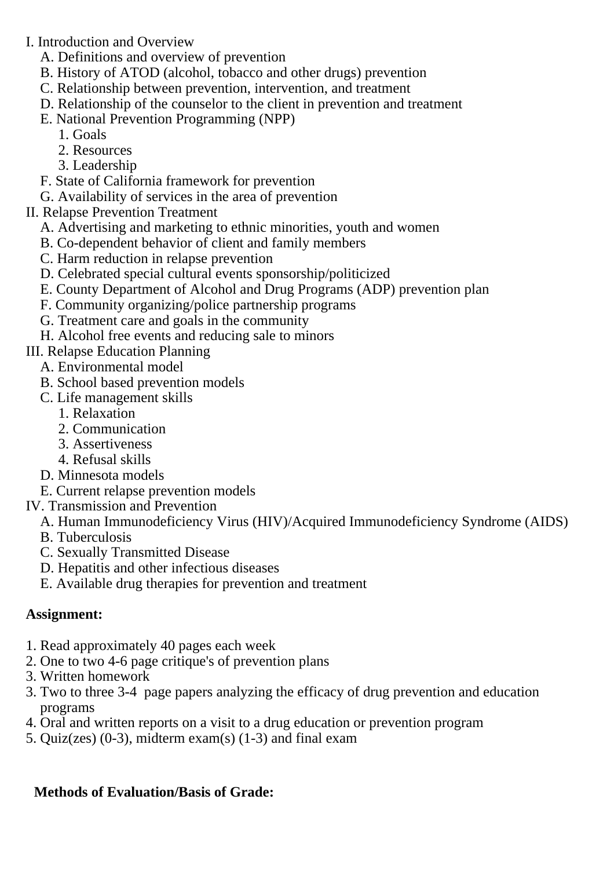I. Introduction and Overview

- A. Definitions and overview of prevention
- B. History of ATOD (alcohol, tobacco and other drugs) prevention
- C. Relationship between prevention, intervention, and treatment
- D. Relationship of the counselor to the client in prevention and treatment
- E. National Prevention Programming (NPP)
	- 1. Goals
	- 2. Resources
	- 3. Leadership
- F. State of California framework for prevention
- G. Availability of services in the area of prevention
- II. Relapse Prevention Treatment
	- A. Advertising and marketing to ethnic minorities, youth and women
	- B. Co-dependent behavior of client and family members
	- C. Harm reduction in relapse prevention
	- D. Celebrated special cultural events sponsorship/politicized
	- E. County Department of Alcohol and Drug Programs (ADP) prevention plan
	- F. Community organizing/police partnership programs
	- G. Treatment care and goals in the community
	- H. Alcohol free events and reducing sale to minors

III. Relapse Education Planning

- A. Environmental model
- B. School based prevention models
- C. Life management skills
	- 1. Relaxation
	- 2. Communication
	- 3. Assertiveness
	- 4. Refusal skills
- D. Minnesota models

E. Current relapse prevention models

- IV. Transmission and Prevention
	- A. Human Immunodeficiency Virus (HIV)/Acquired Immunodeficiency Syndrome (AIDS)
	- B. Tuberculosis
	- C. Sexually Transmitted Disease
	- D. Hepatitis and other infectious diseases
	- E. Available drug therapies for prevention and treatment

### **Assignment:**

- 1. Read approximately 40 pages each week
- 2. One to two 4-6 page critique's of prevention plans
- 3. Written homework
- 3. Two to three 3-4 page papers analyzing the efficacy of drug prevention and education programs
- 4. Oral and written reports on a visit to a drug education or prevention program
- 5. Quiz(zes)  $(0-3)$ , midterm exam $(s)$  (1-3) and final exam

## **Methods of Evaluation/Basis of Grade:**